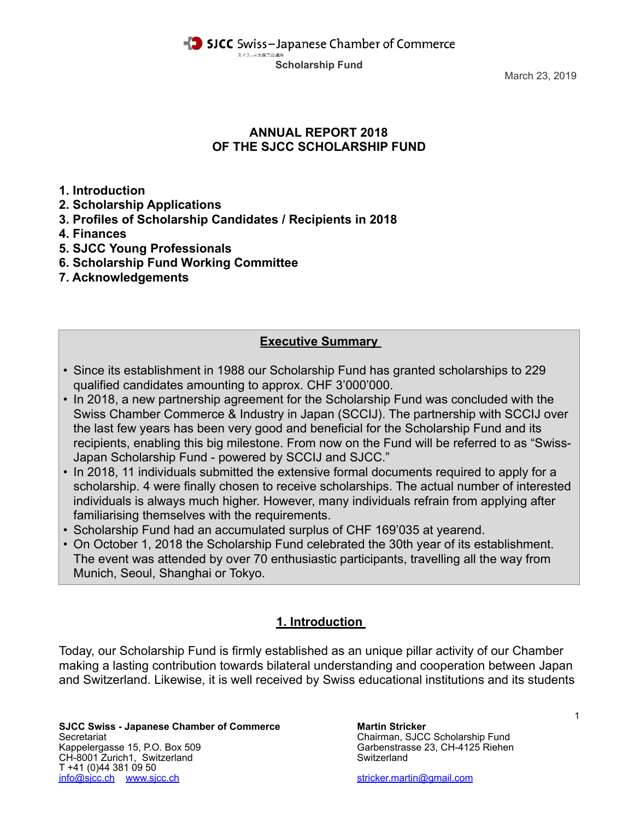SICC Swiss-Japanese Chamber of Commerce スイス-日本商工会議所 **Scholarship Fund**

March 23, 2019

### **ANNUAL REPORT 2018 OF THE SJCC SCHOLARSHIP FUND**

**1. Introduction** 

- **2. Scholarship Applications**
- **3. Profiles of Scholarship Candidates / Recipients in 2018**
- **4. Finances**
- **5. SJCC Young Professionals**
- **6. Scholarship Fund Working Committee**
- **7. Acknowledgements**

### **Executive Summary**

- Since its establishment in 1988 our Scholarship Fund has granted scholarships to 229 qualified candidates amounting to approx. CHF 3'000'000.
- In 2018, a new partnership agreement for the Scholarship Fund was concluded with the Swiss Chamber Commerce & Industry in Japan (SCCIJ). The partnership with SCCIJ over the last few years has been very good and beneficial for the Scholarship Fund and its recipients, enabling this big milestone. From now on the Fund will be referred to as "Swiss-Japan Scholarship Fund - powered by SCCIJ and SJCC."
- In 2018, 11 individuals submitted the extensive formal documents required to apply for a scholarship. 4 were finally chosen to receive scholarships. The actual number of interested individuals is always much higher. However, many individuals refrain from applying after familiarising themselves with the requirements.
- Scholarship Fund had an accumulated surplus of CHF 169'035 at yearend.
- On October 1, 2018 the Scholarship Fund celebrated the 30th year of its establishment. The event was attended by over 70 enthusiastic participants, travelling all the way from Munich, Seoul, Shanghai or Tokyo.

# **1. Introduction**

Today, our Scholarship Fund is firmly established as an unique pillar activity of our Chamber making a lasting contribution towards bilateral understanding and cooperation between Japan and Switzerland. Likewise, it is well received by Swiss educational institutions and its students

**SJCC Swiss - Japanese Chamber of Commerce Martin Stricker** Secretariat Chairman, SJCC Scholarship Fund Kappelergasse 15, P.O. Box 509 Garbenstrasse 23, CH-4125 Riehen (CH-8001 Zurich1. Switzerland CH-8001 Zurich1. CH-8001 Zurich1, Switzerland T +41 (0)44 381 09 50 [info@sjcc.ch](mailto:info@sjcc.ch) [www.sjcc.ch](http://www.sjcc.ch) [stricker.martin@gmail.com](mailto:stricker.martin@gmail.com)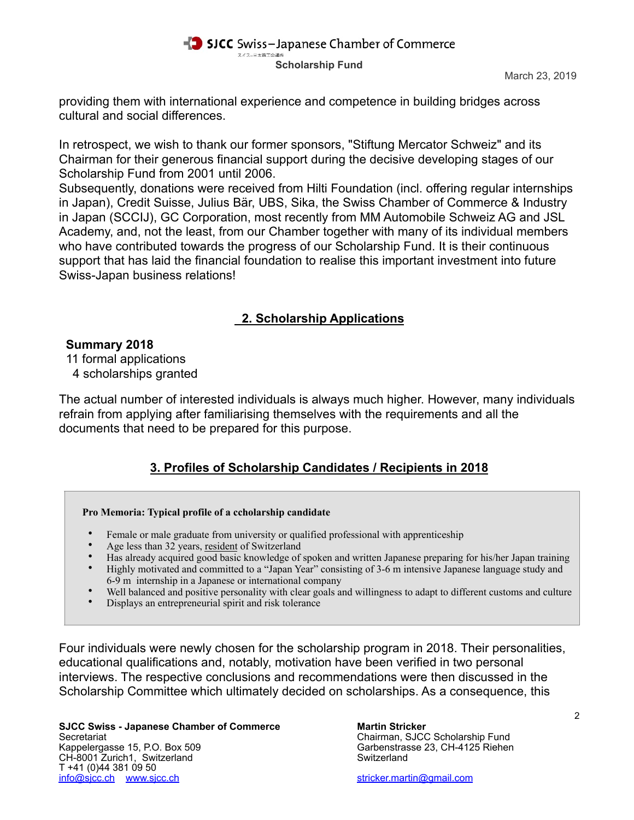

providing them with international experience and competence in building bridges across cultural and social differences.

In retrospect, we wish to thank our former sponsors, "Stiftung Mercator Schweiz" and its Chairman for their generous financial support during the decisive developing stages of our Scholarship Fund from 2001 until 2006.

Subsequently, donations were received from Hilti Foundation (incl. offering regular internships in Japan), Credit Suisse, Julius Bär, UBS, Sika, the Swiss Chamber of Commerce & Industry in Japan (SCCIJ), GC Corporation, most recently from MM Automobile Schweiz AG and JSL Academy, and, not the least, from our Chamber together with many of its individual members who have contributed towards the progress of our Scholarship Fund. It is their continuous support that has laid the financial foundation to realise this important investment into future Swiss-Japan business relations!

# **2. Scholarship Applications**

### **Summary 2018**

11 formal applications

4 scholarships granted

The actual number of interested individuals is always much higher. However, many individuals refrain from applying after familiarising themselves with the requirements and all the documents that need to be prepared for this purpose.

# **3. Profiles of Scholarship Candidates / Recipients in 2018**

### **Pro Memoria: Typical profile of a ccholarship candidate**

- Female or male graduate from university or qualified professional with apprenticeship
- Age less than 32 years, resident of Switzerland
- Has already acquired good basic knowledge of spoken and written Japanese preparing for his/her Japan training<br>• Highly motivated and committed to a "Japan Year" consisting of 3-6 m intensive Japanese language study and
- Highly motivated and committed to a "Japan Year" consisting of 3-6 m intensive Japanese language study and 6-9 m internship in a Japanese or international company
- Well balanced and positive personality with clear goals and willingness to adapt to different customs and culture
- Displays an entrepreneurial spirit and risk tolerance

Four individuals were newly chosen for the scholarship program in 2018. Their personalities, educational qualifications and, notably, motivation have been verified in two personal interviews. The respective conclusions and recommendations were then discussed in the Scholarship Committee which ultimately decided on scholarships. As a consequence, this

**SJCC Swiss - Japanese Chamber of Commerce Martin Stricker<br>Secretariat Chairman, SJCC** Kappelergasse 15, P.O. Box 509 Garbenstrasse 23, CH-4125 Riehen<br>CH-8001 Zurich1. Switzerland Switzerland CH-8001 Zurich1, Switzerland T +41 (0)44 381 09 50 [info@sjcc.ch](mailto:info@sjcc.ch) [www.sjcc.ch](http://www.sjcc.ch) [stricker.martin@gmail.com](mailto:stricker.martin@gmail.com)

Chairman, SJCC Scholarship Fund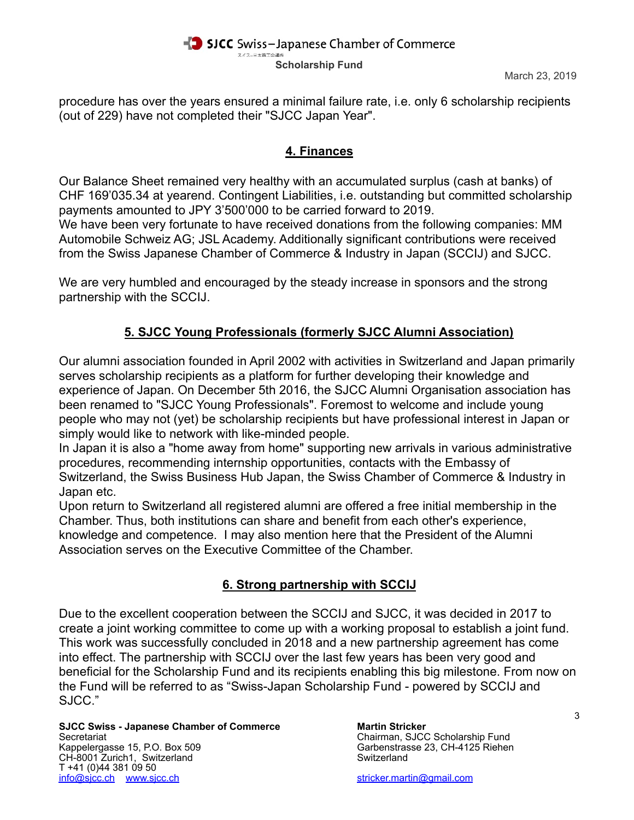#### SICC Swiss-Japanese Chamber of Commerce スイス-日本商工会議所 **Scholarship Fund**

procedure has over the years ensured a minimal failure rate, i.e. only 6 scholarship recipients (out of 229) have not completed their "SJCC Japan Year".

### **4. Finances**

Our Balance Sheet remained very healthy with an accumulated surplus (cash at banks) of CHF 169'035.34 at yearend. Contingent Liabilities, i.e. outstanding but committed scholarship payments amounted to JPY 3'500'000 to be carried forward to 2019.

We have been very fortunate to have received donations from the following companies: MM Automobile Schweiz AG; JSL Academy. Additionally significant contributions were received from the Swiss Japanese Chamber of Commerce & Industry in Japan (SCCIJ) and SJCC.

We are very humbled and encouraged by the steady increase in sponsors and the strong partnership with the SCCIJ.

# **5. SJCC Young Professionals (formerly SJCC Alumni Association)**

Our alumni association founded in April 2002 with activities in Switzerland and Japan primarily serves scholarship recipients as a platform for further developing their knowledge and experience of Japan. On December 5th 2016, the SJCC Alumni Organisation association has been renamed to "SJCC Young Professionals". Foremost to welcome and include young people who may not (yet) be scholarship recipients but have professional interest in Japan or simply would like to network with like-minded people.

In Japan it is also a "home away from home" supporting new arrivals in various administrative procedures, recommending internship opportunities, contacts with the Embassy of Switzerland, the Swiss Business Hub Japan, the Swiss Chamber of Commerce & Industry in Japan etc.

Upon return to Switzerland all registered alumni are offered a free initial membership in the Chamber. Thus, both institutions can share and benefit from each other's experience, knowledge and competence. I may also mention here that the President of the Alumni Association serves on the Executive Committee of the Chamber.

# **6. Strong partnership with SCCIJ**

Due to the excellent cooperation between the SCCIJ and SJCC, it was decided in 2017 to create a joint working committee to come up with a working proposal to establish a joint fund. This work was successfully concluded in 2018 and a new partnership agreement has come into effect. The partnership with SCCIJ over the last few years has been very good and beneficial for the Scholarship Fund and its recipients enabling this big milestone. From now on the Fund will be referred to as "Swiss-Japan Scholarship Fund - powered by SCCIJ and SJCC."

**SJCC Swiss - Japanese Chamber of Commerce Martin Stricker<br>Secretariat Chairman, SJCC** Kappelergasse 15, P.O. Box 509 Garbenstrasse 23, CH-4125 Riehen (CH-8001 Zurich1. Switzerland CH-8001 Zurich1. CH-8001 Zurich1, Switzerland T +41 (0)44 381 09 50 [info@sjcc.ch](mailto:info@sjcc.ch) [www.sjcc.ch](http://www.sjcc.ch) [stricker.martin@gmail.com](mailto:stricker.martin@gmail.com)

Chairman, SJCC Scholarship Fund